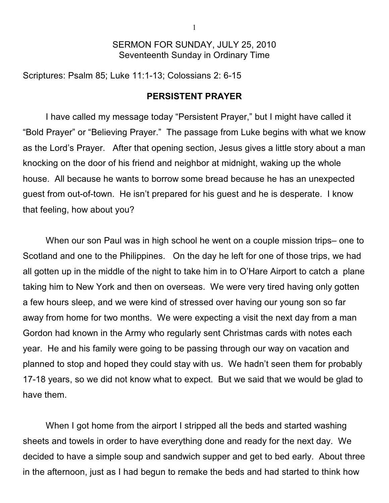## SERMON FOR SUNDAY, JULY 25, 2010 Seventeenth Sunday in Ordinary Time

Scriptures: Psalm 85; Luke 11:1-13; Colossians 2: 6-15

## **PERSISTENT PRAYER**

I have called my message today "Persistent Prayer," but I might have called it "Bold Prayer" or "Believing Prayer." The passage from Luke begins with what we know as the Lord's Prayer. After that opening section, Jesus gives a little story about a man knocking on the door of his friend and neighbor at midnight, waking up the whole house. All because he wants to borrow some bread because he has an unexpected guest from out-of-town. He isn't prepared for his guest and he is desperate. I know that feeling, how about you?

When our son Paul was in high school he went on a couple mission trips– one to Scotland and one to the Philippines. On the day he left for one of those trips, we had all gotten up in the middle of the night to take him in to O'Hare Airport to catch a plane taking him to New York and then on overseas. We were very tired having only gotten a few hours sleep, and we were kind of stressed over having our young son so far away from home for two months. We were expecting a visit the next day from a man Gordon had known in the Army who regularly sent Christmas cards with notes each year. He and his family were going to be passing through our way on vacation and planned to stop and hoped they could stay with us. We hadn't seen them for probably 17-18 years, so we did not know what to expect. But we said that we would be glad to have them.

When I got home from the airport I stripped all the beds and started washing sheets and towels in order to have everything done and ready for the next day. We decided to have a simple soup and sandwich supper and get to bed early. About three in the afternoon, just as I had begun to remake the beds and had started to think how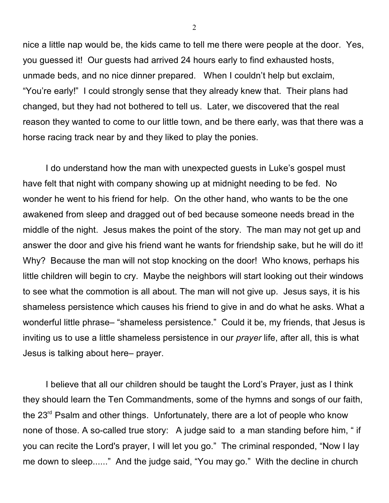nice a little nap would be, the kids came to tell me there were people at the door. Yes, you guessed it! Our guests had arrived 24 hours early to find exhausted hosts, unmade beds, and no nice dinner prepared. When I couldn't help but exclaim, "You're early!" I could strongly sense that they already knew that. Their plans had changed, but they had not bothered to tell us. Later, we discovered that the real reason they wanted to come to our little town, and be there early, was that there was a horse racing track near by and they liked to play the ponies.

I do understand how the man with unexpected guests in Luke's gospel must have felt that night with company showing up at midnight needing to be fed. No wonder he went to his friend for help. On the other hand, who wants to be the one awakened from sleep and dragged out of bed because someone needs bread in the middle of the night. Jesus makes the point of the story. The man may not get up and answer the door and give his friend want he wants for friendship sake, but he will do it! Why? Because the man will not stop knocking on the door! Who knows, perhaps his little children will begin to cry. Maybe the neighbors will start looking out their windows to see what the commotion is all about. The man will not give up. Jesus says, it is his shameless persistence which causes his friend to give in and do what he asks. What a wonderful little phrase– "shameless persistence." Could it be, my friends, that Jesus is inviting us to use a little shameless persistence in our *prayer* life, after all, this is what Jesus is talking about here– prayer.

I believe that all our children should be taught the Lord's Prayer, just as I think they should learn the Ten Commandments, some of the hymns and songs of our faith, the 23<sup>rd</sup> Psalm and other things. Unfortunately, there are a lot of people who know none of those. A so-called true story: A judge said to a man standing before him, " if you can recite the Lord's prayer, I will let you go." The criminal responded, "Now I lay me down to sleep......" And the judge said, "You may go." With the decline in church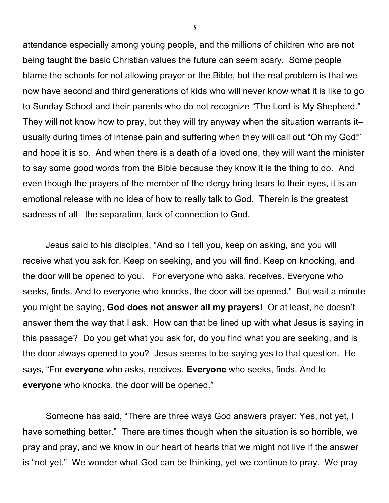attendance especially among young people, and the millions of children who are not being taught the basic Christian values the future can seem scary. Some people blame the schools for not allowing prayer or the Bible, but the real problem is that we now have second and third generations of kids who will never know what it is like to go to Sunday School and their parents who do not recognize "The Lord is My Shepherd." They will not know how to pray, but they will try anyway when the situation warrants it– usually during times of intense pain and suffering when they will call out "Oh my God!" and hope it is so. And when there is a death of a loved one, they will want the minister to say some good words from the Bible because they know it is the thing to do. And even though the prayers of the member of the clergy bring tears to their eyes, it is an emotional release with no idea of how to really talk to God. Therein is the greatest sadness of all– the separation, lack of connection to God.

Jesus said to his disciples, "And so I tell you, keep on asking, and you will receive what you ask for. Keep on seeking, and you will find. Keep on knocking, and the door will be opened to you. For everyone who asks, receives. Everyone who seeks, finds. And to everyone who knocks, the door will be opened." But wait a minute you might be saying, **God does not answer all my prayers!** Or at least, he doesn't answer them the way that I ask. How can that be lined up with what Jesus is saying in this passage? Do you get what you ask for, do you find what you are seeking, and is the door always opened to you? Jesus seems to be saying yes to that question. He says, "For **everyone** who asks, receives. **Everyone** who seeks, finds. And to **everyone** who knocks, the door will be opened."

Someone has said, "There are three ways God answers prayer: Yes, not yet, I have something better." There are times though when the situation is so horrible, we pray and pray, and we know in our heart of hearts that we might not live if the answer is "not yet." We wonder what God can be thinking, yet we continue to pray. We pray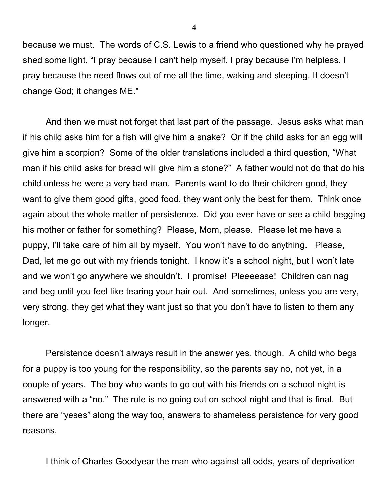because we must. The words of C.S. Lewis to a friend who questioned why he prayed shed some light, "I pray because I can't help myself. I pray because I'm helpless. I pray because the need flows out of me all the time, waking and sleeping. It doesn't change God; it changes ME."

And then we must not forget that last part of the passage. Jesus asks what man if his child asks him for a fish will give him a snake? Or if the child asks for an egg will give him a scorpion? Some of the older translations included a third question, "What man if his child asks for bread will give him a stone?" A father would not do that do his child unless he were a very bad man. Parents want to do their children good, they want to give them good gifts, good food, they want only the best for them. Think once again about the whole matter of persistence. Did you ever have or see a child begging his mother or father for something? Please, Mom, please. Please let me have a puppy, I'll take care of him all by myself. You won't have to do anything. Please, Dad, let me go out with my friends tonight. I know it's a school night, but I won't late and we won't go anywhere we shouldn't. I promise! Pleeeease! Children can nag and beg until you feel like tearing your hair out. And sometimes, unless you are very, very strong, they get what they want just so that you don't have to listen to them any longer.

Persistence doesn't always result in the answer yes, though. A child who begs for a puppy is too young for the responsibility, so the parents say no, not yet, in a couple of years. The boy who wants to go out with his friends on a school night is answered with a "no." The rule is no going out on school night and that is final. But there are "yeses" along the way too, answers to shameless persistence for very good reasons.

I think of Charles Goodyear the man who against all odds, years of deprivation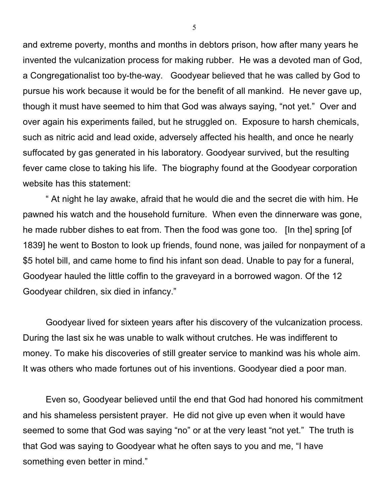and extreme poverty, months and months in debtors prison, how after many years he invented the vulcanization process for making rubber. He was a devoted man of God, a Congregationalist too by-the-way. Goodyear believed that he was called by God to pursue his work because it would be for the benefit of all mankind. He never gave up, though it must have seemed to him that God was always saying, "not yet." Over and over again his experiments failed, but he struggled on. Exposure to harsh chemicals, such as nitric acid and lead oxide, adversely affected his health, and once he nearly suffocated by gas generated in his laboratory. Goodyear survived, but the resulting fever came close to taking his life. The biography found at the Goodyear corporation website has this statement:

" At night he lay awake, afraid that he would die and the secret die with him. He pawned his watch and the household furniture. When even the dinnerware was gone, he made rubber dishes to eat from. Then the food was gone too. [In the] spring [of 1839] he went to Boston to look up friends, found none, was jailed for nonpayment of a \$5 hotel bill, and came home to find his infant son dead. Unable to pay for a funeral, Goodyear hauled the little coffin to the graveyard in a borrowed wagon. Of the 12 Goodyear children, six died in infancy."

Goodyear lived for sixteen years after his discovery of the vulcanization process. During the last six he was unable to walk without crutches. He was indifferent to money. To make his discoveries of still greater service to mankind was his whole aim. It was others who made fortunes out of his inventions. Goodyear died a poor man.

Even so, Goodyear believed until the end that God had honored his commitment and his shameless persistent prayer. He did not give up even when it would have seemed to some that God was saying "no" or at the very least "not yet." The truth is that God was saying to Goodyear what he often says to you and me, "I have something even better in mind."